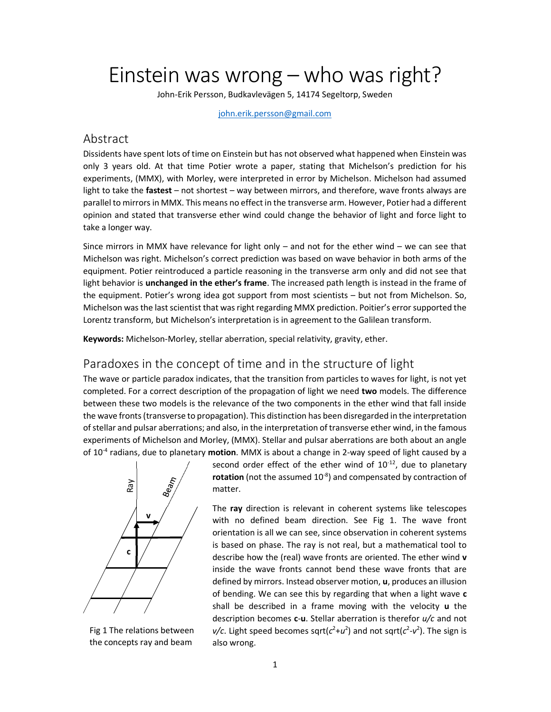# Einstein was wrong – who was right?

John-Erik Persson, Budkavlevägen 5, 14174 Segeltorp, Sweden

john.erik.persson@gmail.com

## Abstract

Dissidents have spent lots of time on Einstein but has not observed what happened when Einstein was only 3 years old. At that time Potier wrote a paper, stating that Michelson's prediction for his experiments, (MMX), with Morley, were interpreted in error by Michelson. Michelson had assumed light to take the fastest – not shortest – way between mirrors, and therefore, wave fronts always are parallel to mirrors in MMX. This means no effect in the transverse arm. However, Potier had a different opinion and stated that transverse ether wind could change the behavior of light and force light to take a longer way.

Since mirrors in MMX have relevance for light only – and not for the ether wind – we can see that Michelson was right. Michelson's correct prediction was based on wave behavior in both arms of the equipment. Potier reintroduced a particle reasoning in the transverse arm only and did not see that light behavior is unchanged in the ether's frame. The increased path length is instead in the frame of the equipment. Potier's wrong idea got support from most scientists – but not from Michelson. So, Michelson was the last scientist that was right regarding MMX prediction. Poitier's error supported the Lorentz transform, but Michelson's interpretation is in agreement to the Galilean transform.

Keywords: Michelson-Morley, stellar aberration, special relativity, gravity, ether.

## Paradoxes in the concept of time and in the structure of light

The wave or particle paradox indicates, that the transition from particles to waves for light, is not yet completed. For a correct description of the propagation of light we need two models. The difference between these two models is the relevance of the two components in the ether wind that fall inside the wave fronts (transverse to propagation). This distinction has been disregarded in the interpretation of stellar and pulsar aberrations; and also, in the interpretation of transverse ether wind, in the famous experiments of Michelson and Morley, (MMX). Stellar and pulsar aberrations are both about an angle of  $10^{-4}$  radians, due to planetary motion. MMX is about a change in 2-way speed of light caused by a



Fig 1 The relations between the concepts ray and beam also wrong.

second order effect of the ether wind of  $10^{-12}$ , due to planetary rotation (not the assumed  $10^{-8}$ ) and compensated by contraction of matter.

The ray direction is relevant in coherent systems like telescopes with no defined beam direction. See Fig 1. The wave front orientation is all we can see, since observation in coherent systems is based on phase. The ray is not real, but a mathematical tool to  $\frac{d}{dx}$  c  $\frac{d}{dx}$  describe how the (real) wave fronts are oriented. The ether wind **v** inside the wave fronts cannot bend these wave fronts that are defined by mirrors. Instead observer motion, u, produces an illusion of bending. We can see this by regarding that when a light wave c shall be described in a frame moving with the velocity  $\boldsymbol{u}$  the description becomes  $c$ -u. Stellar aberration is therefor  $u/c$  and not  $v/c$ . Light speed becomes sqrt( $c^2 + u^2$ ) and not sqrt( $c^2 - v^2$ ). The sign is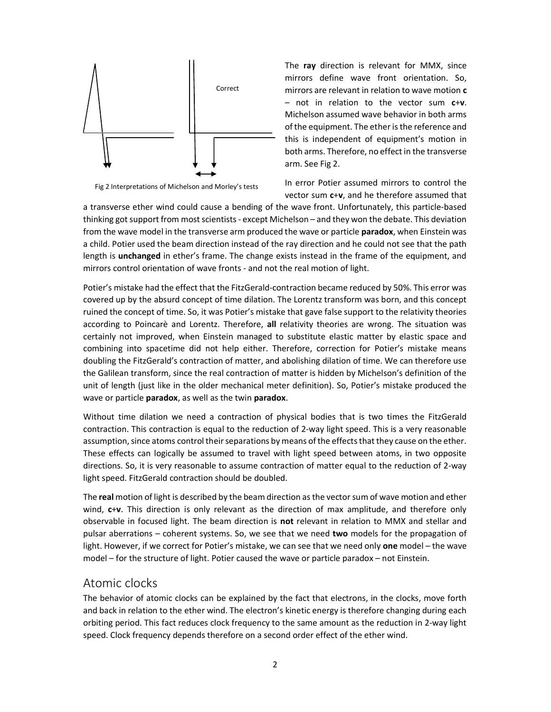

Fig 2 Interpretations of Michelson and Morley's tests

The ray direction is relevant for MMX, since mirrors define wave front orientation. So, mirrors are relevant in relation to wave motion c  $-$  not in relation to the vector sum  $c+v$ . Michelson assumed wave behavior in both arms of the equipment. The ether is the reference and this is independent of equipment's motion in both arms. Therefore, no effect in the transverse arm. See Fig 2.

In error Potier assumed mirrors to control the vector sum c+v, and he therefore assumed that

a transverse ether wind could cause a bending of the wave front. Unfortunately, this particle-based thinking got support from most scientists - except Michelson – and they won the debate. This deviation from the wave model in the transverse arm produced the wave or particle paradox, when Einstein was a child. Potier used the beam direction instead of the ray direction and he could not see that the path length is unchanged in ether's frame. The change exists instead in the frame of the equipment, and mirrors control orientation of wave fronts - and not the real motion of light.

Potier's mistake had the effect that the FitzGerald-contraction became reduced by 50%. This error was covered up by the absurd concept of time dilation. The Lorentz transform was born, and this concept ruined the concept of time. So, it was Potier's mistake that gave false support to the relativity theories according to Poincarè and Lorentz. Therefore, all relativity theories are wrong. The situation was certainly not improved, when Einstein managed to substitute elastic matter by elastic space and combining into spacetime did not help either. Therefore, correction for Potier's mistake means doubling the FitzGerald's contraction of matter, and abolishing dilation of time. We can therefore use the Galilean transform, since the real contraction of matter is hidden by Michelson's definition of the unit of length (just like in the older mechanical meter definition). So, Potier's mistake produced the wave or particle paradox, as well as the twin paradox.

Without time dilation we need a contraction of physical bodies that is two times the FitzGerald contraction. This contraction is equal to the reduction of 2-way light speed. This is a very reasonable assumption, since atoms control their separations by means of the effects that they cause on the ether. These effects can logically be assumed to travel with light speed between atoms, in two opposite directions. So, it is very reasonable to assume contraction of matter equal to the reduction of 2-way light speed. FitzGerald contraction should be doubled.

The real motion of light is described by the beam direction as the vector sum of wave motion and ether wind, c+v. This direction is only relevant as the direction of max amplitude, and therefore only observable in focused light. The beam direction is not relevant in relation to MMX and stellar and pulsar aberrations – coherent systems. So, we see that we need two models for the propagation of light. However, if we correct for Potier's mistake, we can see that we need only one model – the wave model – for the structure of light. Potier caused the wave or particle paradox – not Einstein.

#### Atomic clocks

The behavior of atomic clocks can be explained by the fact that electrons, in the clocks, move forth and back in relation to the ether wind. The electron's kinetic energy is therefore changing during each orbiting period. This fact reduces clock frequency to the same amount as the reduction in 2-way light speed. Clock frequency depends therefore on a second order effect of the ether wind.